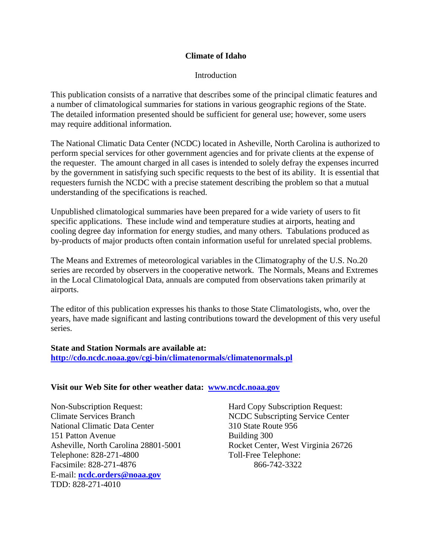# **Climate of Idaho**

### Introduction

This publication consists of a narrative that describes some of the principal climatic features and a number of climatological summaries for stations in various geographic regions of the State. The detailed information presented should be sufficient for general use; however, some users may require additional information.

The National Climatic Data Center (NCDC) located in Asheville, North Carolina is authorized to perform special services for other government agencies and for private clients at the expense of the requester. The amount charged in all cases is intended to solely defray the expenses incurred by the government in satisfying such specific requests to the best of its ability. It is essential that requesters furnish the NCDC with a precise statement describing the problem so that a mutual understanding of the specifications is reached.

Unpublished climatological summaries have been prepared for a wide variety of users to fit specific applications. These include wind and temperature studies at airports, heating and cooling degree day information for energy studies, and many others. Tabulations produced as by-products of major products often contain information useful for unrelated special problems.

The Means and Extremes of meteorological variables in the Climatography of the U.S. No.20 series are recorded by observers in the cooperative network. The Normals, Means and Extremes in the Local Climatological Data, annuals are computed from observations taken primarily at airports.

The editor of this publication expresses his thanks to those State Climatologists, who, over the years, have made significant and lasting contributions toward the development of this very useful series.

# **State and Station Normals are available at: [http://cdo.ncdc.noaa.gov/cgi-bin/climatenormals/climatenormals.pl](http://www5.ncdc.noaa.gov/cgi-bin/climatenormals/climatenormals.pl)**

#### **Visit our Web Site for other weather data: [www.ncdc.noaa.gov](http://www.ncdc.noaa.gov/)**

Non-Subscription Request: Hard Copy Subscription Request: Climate Services Branch NCDC Subscripting Service Center National Climatic Data Center 310 State Route 956 151 Patton Avenue Building 300 Asheville, North Carolina 28801-5001 Rocket Center, West Virginia 26726 Telephone: 828-271-4800 Toll-Free Telephone: Facsimile: 828-271-4876 866-742-3322 E-mail: **[ncdc.orders@noaa.gov](mailto:ncdc.info@noaa.gov)** TDD: 828-271-4010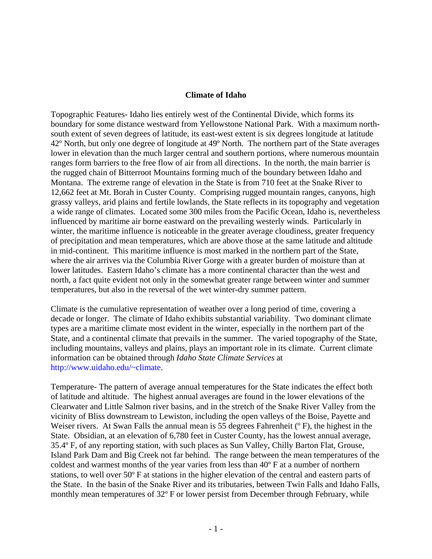#### **Climate of Idaho**

Topographic Features- Idaho lies entirely west of the Continental Divide, which forms its boundary for some distance westward from Yellowstone National Park. With a maximum northsouth extent of seven degrees of latitude, its east-west extent is six degrees longitude at latitude 42º North, but only one degree of longitude at 49º North. The northern part of the State averages lower in elevation than the much larger central and southern portions, where numerous mountain ranges form barriers to the free flow of air from all directions. In the north, the main barrier is the rugged chain of Bitterroot Mountains forming much of the boundary between Idaho and Montana. The extreme range of elevation in the State is from 710 feet at the Snake River to 12,662 feet at Mt. Borah in Custer County. Comprising rugged mountain ranges, canyons, high grassy valleys, arid plains and fertile lowlands, the State reflects in its topography and vegetation a wide range of climates. Located some 300 miles from the Pacific Ocean, Idaho is, nevertheless influenced by maritime air borne eastward on the prevailing westerly winds. Particularly in winter, the maritime influence is noticeable in the greater average cloudiness, greater frequency of precipitation and mean temperatures, which are above those at the same latitude and altitude in mid-continent. This maritime influence is most marked in the northern part of the State, where the air arrives via the Columbia River Gorge with a greater burden of moisture than at lower latitudes. Eastern Idaho's climate has a more continental character than the west and north, a fact quite evident not only in the somewhat greater range between winter and summer temperatures, but also in the reversal of the wet winter-dry summer pattern.

Climate is the cumulative representation of weather over a long period of time, covering a decade or longer. The climate of Idaho exhibits substantial variability. Two dominant climate types are a maritime climate most evident in the winter, especially in the northern part of the State, and a continental climate that prevails in the summer. The varied topography of the State, including mountains, valleys and plains, plays an important role in its climate. Current climate information can be obtained through *Idaho State Climate Services* at [http://www.uidaho.edu/~climate.](http://www.uidaho.edu/%7Eclimate)

Temperature- The pattern of average annual temperatures for the State indicates the effect both of latitude and altitude. The highest annual averages are found in the lower elevations of the Clearwater and Little Salmon river basins, and in the stretch of the Snake River Valley from the vicinity of Bliss downstream to Lewiston, including the open valleys of the Boise, Payette and Weiser rivers. At Swan Falls the annual mean is 55 degrees Fahrenheit ( $\degree$ F), the highest in the State. Obsidian, at an elevation of 6,780 feet in Custer County, has the lowest annual average, 35.4º F, of any reporting station, with such places as Sun Valley, Chilly Barton Flat, Grouse, Island Park Dam and Big Creek not far behind. The range between the mean temperatures of the coldest and warmest months of the year varies from less than 40º F at a number of northern stations, to well over 50º F at stations in the higher elevation of the central and eastern parts of the State. In the basin of the Snake River and its tributaries, between Twin Falls and Idaho Falls, monthly mean temperatures of 32º F or lower persist from December through February, while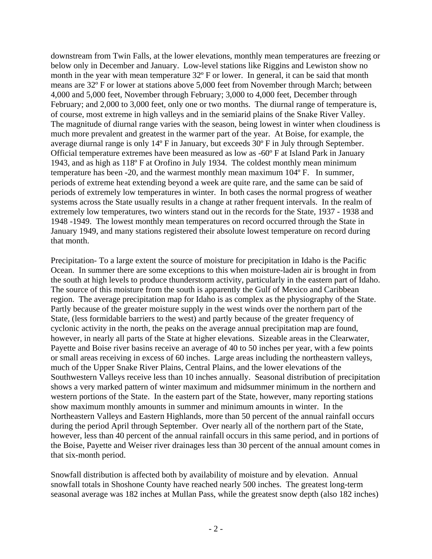downstream from Twin Falls, at the lower elevations, monthly mean temperatures are freezing or below only in December and January. Low-level stations like Riggins and Lewiston show no month in the year with mean temperature 32° F or lower. In general, it can be said that month means are 32º F or lower at stations above 5,000 feet from November through March; between 4,000 and 5,000 feet, November through February; 3,000 to 4,000 feet, December through February; and 2,000 to 3,000 feet, only one or two months. The diurnal range of temperature is, of course, most extreme in high valleys and in the semiarid plains of the Snake River Valley. The magnitude of diurnal range varies with the season, being lowest in winter when cloudiness is much more prevalent and greatest in the warmer part of the year. At Boise, for example, the average diurnal range is only 14º F in January, but exceeds 30º F in July through September. Official temperature extremes have been measured as low as -60º F at Island Park in January 1943, and as high as 118º F at Orofino in July 1934. The coldest monthly mean minimum temperature has been -20, and the warmest monthly mean maximum 104º F. In summer, periods of extreme heat extending beyond a week are quite rare, and the same can be said of periods of extremely low temperatures in winter. In both cases the normal progress of weather systems across the State usually results in a change at rather frequent intervals. In the realm of extremely low temperatures, two winters stand out in the records for the State, 1937 - 1938 and 1948 -1949. The lowest monthly mean temperatures on record occurred through the State in January 1949, and many stations registered their absolute lowest temperature on record during that month.

Precipitation- To a large extent the source of moisture for precipitation in Idaho is the Pacific Ocean. In summer there are some exceptions to this when moisture-laden air is brought in from the south at high levels to produce thunderstorm activity, particularly in the eastern part of Idaho. The source of this moisture from the south is apparently the Gulf of Mexico and Caribbean region. The average precipitation map for Idaho is as complex as the physiography of the State. Partly because of the greater moisture supply in the west winds over the northern part of the State, (less formidable barriers to the west) and partly because of the greater frequency of cyclonic activity in the north, the peaks on the average annual precipitation map are found, however, in nearly all parts of the State at higher elevations. Sizeable areas in the Clearwater, Payette and Boise river basins receive an average of 40 to 50 inches per year, with a few points or small areas receiving in excess of 60 inches. Large areas including the northeastern valleys, much of the Upper Snake River Plains, Central Plains, and the lower elevations of the Southwestern Valleys receive less than 10 inches annually. Seasonal distribution of precipitation shows a very marked pattern of winter maximum and midsummer minimum in the northern and western portions of the State. In the eastern part of the State, however, many reporting stations show maximum monthly amounts in summer and minimum amounts in winter. In the Northeastern Valleys and Eastern Highlands, more than 50 percent of the annual rainfall occurs during the period April through September. Over nearly all of the northern part of the State, however, less than 40 percent of the annual rainfall occurs in this same period, and in portions of the Boise, Payette and Weiser river drainages less than 30 percent of the annual amount comes in that six-month period.

Snowfall distribution is affected both by availability of moisture and by elevation. Annual snowfall totals in Shoshone County have reached nearly 500 inches. The greatest long-term seasonal average was 182 inches at Mullan Pass, while the greatest snow depth (also 182 inches)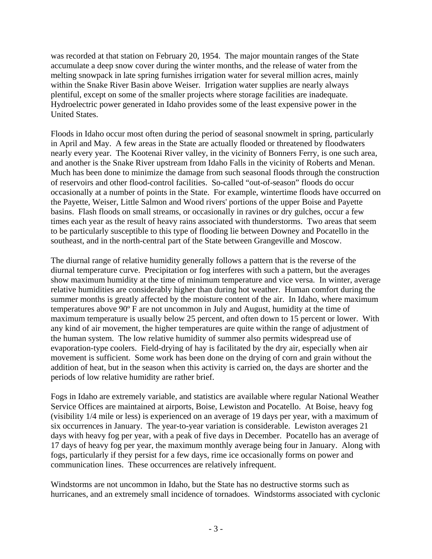was recorded at that station on February 20, 1954. The major mountain ranges of the State accumulate a deep snow cover during the winter months, and the release of water from the melting snowpack in late spring furnishes irrigation water for several million acres, mainly within the Snake River Basin above Weiser. Irrigation water supplies are nearly always plentiful, except on some of the smaller projects where storage facilities are inadequate. Hydroelectric power generated in Idaho provides some of the least expensive power in the United States.

Floods in Idaho occur most often during the period of seasonal snowmelt in spring, particularly in April and May. A few areas in the State are actually flooded or threatened by floodwaters nearly every year. The Kootenai River valley, in the vicinity of Bonners Ferry, is one such area, and another is the Snake River upstream from Idaho Falls in the vicinity of Roberts and Menan. Much has been done to minimize the damage from such seasonal floods through the construction of reservoirs and other flood-control facilities. So-called "out-of-season" floods do occur occasionally at a number of points in the State. For example, wintertime floods have occurred on the Payette, Weiser, Little Salmon and Wood rivers' portions of the upper Boise and Payette basins. Flash floods on small streams, or occasionally in ravines or dry gulches, occur a few times each year as the result of heavy rains associated with thunderstorms. Two areas that seem to be particularly susceptible to this type of flooding lie between Downey and Pocatello in the southeast, and in the north-central part of the State between Grangeville and Moscow.

The diurnal range of relative humidity generally follows a pattern that is the reverse of the diurnal temperature curve. Precipitation or fog interferes with such a pattern, but the averages show maximum humidity at the time of minimum temperature and vice versa. In winter, average relative humidities are considerably higher than during hot weather. Human comfort during the summer months is greatly affected by the moisture content of the air. In Idaho, where maximum temperatures above 90º F are not uncommon in July and August, humidity at the time of maximum temperature is usually below 25 percent, and often down to 15 percent or lower. With any kind of air movement, the higher temperatures are quite within the range of adjustment of the human system. The low relative humidity of summer also permits widespread use of evaporation-type coolers. Field-drying of hay is facilitated by the dry air, especially when air movement is sufficient. Some work has been done on the drying of corn and grain without the addition of heat, but in the season when this activity is carried on, the days are shorter and the periods of low relative humidity are rather brief.

Fogs in Idaho are extremely variable, and statistics are available where regular National Weather Service Offices are maintained at airports, Boise, Lewiston and Pocatello. At Boise, heavy fog (visibility 1/4 mile or less) is experienced on an average of 19 days per year, with a maximum of six occurrences in January. The year-to-year variation is considerable. Lewiston averages 21 days with heavy fog per year, with a peak of five days in December. Pocatello has an average of 17 days of heavy fog per year, the maximum monthly average being four in January. Along with fogs, particularly if they persist for a few days, rime ice occasionally forms on power and communication lines. These occurrences are relatively infrequent.

Windstorms are not uncommon in Idaho, but the State has no destructive storms such as hurricanes, and an extremely small incidence of tornadoes. Windstorms associated with cyclonic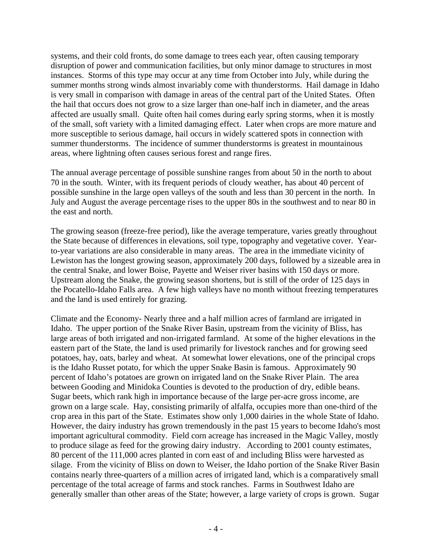systems, and their cold fronts, do some damage to trees each year, often causing temporary disruption of power and communication facilities, but only minor damage to structures in most instances. Storms of this type may occur at any time from October into July, while during the summer months strong winds almost invariably come with thunderstorms. Hail damage in Idaho is very small in comparison with damage in areas of the central part of the United States. Often the hail that occurs does not grow to a size larger than one-half inch in diameter, and the areas affected are usually small. Quite often hail comes during early spring storms, when it is mostly of the small, soft variety with a limited damaging effect. Later when crops are more mature and more susceptible to serious damage, hail occurs in widely scattered spots in connection with summer thunderstorms. The incidence of summer thunderstorms is greatest in mountainous areas, where lightning often causes serious forest and range fires.

The annual average percentage of possible sunshine ranges from about 50 in the north to about 70 in the south. Winter, with its frequent periods of cloudy weather, has about 40 percent of possible sunshine in the large open valleys of the south and less than 30 percent in the north. In July and August the average percentage rises to the upper 80s in the southwest and to near 80 in the east and north.

The growing season (freeze-free period), like the average temperature, varies greatly throughout the State because of differences in elevations, soil type, topography and vegetative cover. Yearto-year variations are also considerable in many areas. The area in the immediate vicinity of Lewiston has the longest growing season, approximately 200 days, followed by a sizeable area in the central Snake, and lower Boise, Payette and Weiser river basins with 150 days or more. Upstream along the Snake, the growing season shortens, but is still of the order of 125 days in the Pocatello-Idaho Falls area. A few high valleys have no month without freezing temperatures and the land is used entirely for grazing.

Climate and the Economy- Nearly three and a half million acres of farmland are irrigated in Idaho. The upper portion of the Snake River Basin, upstream from the vicinity of Bliss, has large areas of both irrigated and non-irrigated farmland. At some of the higher elevations in the eastern part of the State, the land is used primarily for livestock ranches and for growing seed potatoes, hay, oats, barley and wheat. At somewhat lower elevations, one of the principal crops is the Idaho Russet potato, for which the upper Snake Basin is famous. Approximately 90 percent of Idaho's potatoes are grown on irrigated land on the Snake River Plain. The area between Gooding and Minidoka Counties is devoted to the production of dry, edible beans. Sugar beets, which rank high in importance because of the large per-acre gross income, are grown on a large scale. Hay, consisting primarily of alfalfa, occupies more than one-third of the crop area in this part of the State. Estimates show only 1,000 dairies in the whole State of Idaho. However, the dairy industry has grown tremendously in the past 15 years to become Idaho's most important agricultural commodity. Field corn acreage has increased in the Magic Valley, mostly to produce silage as feed for the growing dairy industry. According to 2001 county estimates, 80 percent of the 111,000 acres planted in corn east of and including Bliss were harvested as silage. From the vicinity of Bliss on down to Weiser, the Idaho portion of the Snake River Basin contains nearly three-quarters of a million acres of irrigated land, which is a comparatively small percentage of the total acreage of farms and stock ranches. Farms in Southwest Idaho are generally smaller than other areas of the State; however, a large variety of crops is grown. Sugar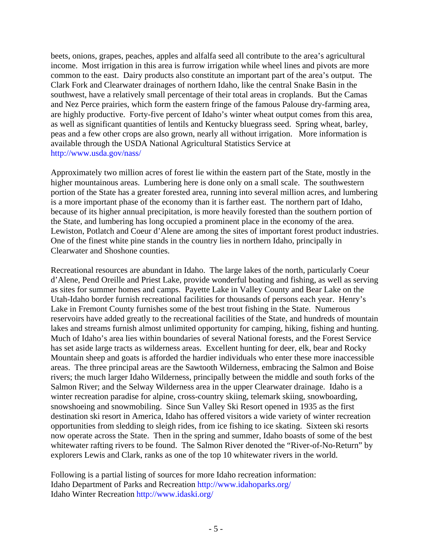beets, onions, grapes, peaches, apples and alfalfa seed all contribute to the area's agricultural income. Most irrigation in this area is furrow irrigation while wheel lines and pivots are more common to the east. Dairy products also constitute an important part of the area's output. The Clark Fork and Clearwater drainages of northern Idaho, like the central Snake Basin in the southwest, have a relatively small percentage of their total areas in croplands. But the Camas and Nez Perce prairies, which form the eastern fringe of the famous Palouse dry-farming area, are highly productive. Forty-five percent of Idaho's winter wheat output comes from this area, as well as significant quantities of lentils and Kentucky bluegrass seed. Spring wheat, barley, peas and a few other crops are also grown, nearly all without irrigation. More information is available through the USDA National Agricultural Statistics Service at <http://www.usda.gov/nass/>

Approximately two million acres of forest lie within the eastern part of the State, mostly in the higher mountainous areas. Lumbering here is done only on a small scale. The southwestern portion of the State has a greater forested area, running into several million acres, and lumbering is a more important phase of the economy than it is farther east. The northern part of Idaho, because of its higher annual precipitation, is more heavily forested than the southern portion of the State, and lumbering has long occupied a prominent place in the economy of the area. Lewiston, Potlatch and Coeur d'Alene are among the sites of important forest product industries. One of the finest white pine stands in the country lies in northern Idaho, principally in Clearwater and Shoshone counties.

Recreational resources are abundant in Idaho. The large lakes of the north, particularly Coeur d'Alene, Pend Oreille and Priest Lake, provide wonderful boating and fishing, as well as serving as sites for summer homes and camps. Payette Lake in Valley County and Bear Lake on the Utah-Idaho border furnish recreational facilities for thousands of persons each year. Henry's Lake in Fremont County furnishes some of the best trout fishing in the State. Numerous reservoirs have added greatly to the recreational facilities of the State, and hundreds of mountain lakes and streams furnish almost unlimited opportunity for camping, hiking, fishing and hunting. Much of Idaho's area lies within boundaries of several National forests, and the Forest Service has set aside large tracts as wilderness areas. Excellent hunting for deer, elk, bear and Rocky Mountain sheep and goats is afforded the hardier individuals who enter these more inaccessible areas. The three principal areas are the Sawtooth Wilderness, embracing the Salmon and Boise rivers; the much larger Idaho Wilderness, principally between the middle and south forks of the Salmon River; and the Selway Wilderness area in the upper Clearwater drainage. Idaho is a winter recreation paradise for alpine, cross-country skiing, telemark skiing, snowboarding, snowshoeing and snowmobiling. Since Sun Valley Ski Resort opened in 1935 as the first destination ski resort in America, Idaho has offered visitors a wide variety of winter recreation opportunities from sledding to sleigh rides, from ice fishing to ice skating. Sixteen ski resorts now operate across the State. Then in the spring and summer, Idaho boasts of some of the best whitewater rafting rivers to be found. The Salmon River denoted the "River-of-No-Return" by explorers Lewis and Clark, ranks as one of the top 10 whitewater rivers in the world.

Following is a partial listing of sources for more Idaho recreation information: Idaho Department of Parks and Recreation<http://www.idahoparks.org/> Idaho Winter Recreation <http://www.idaski.org/>